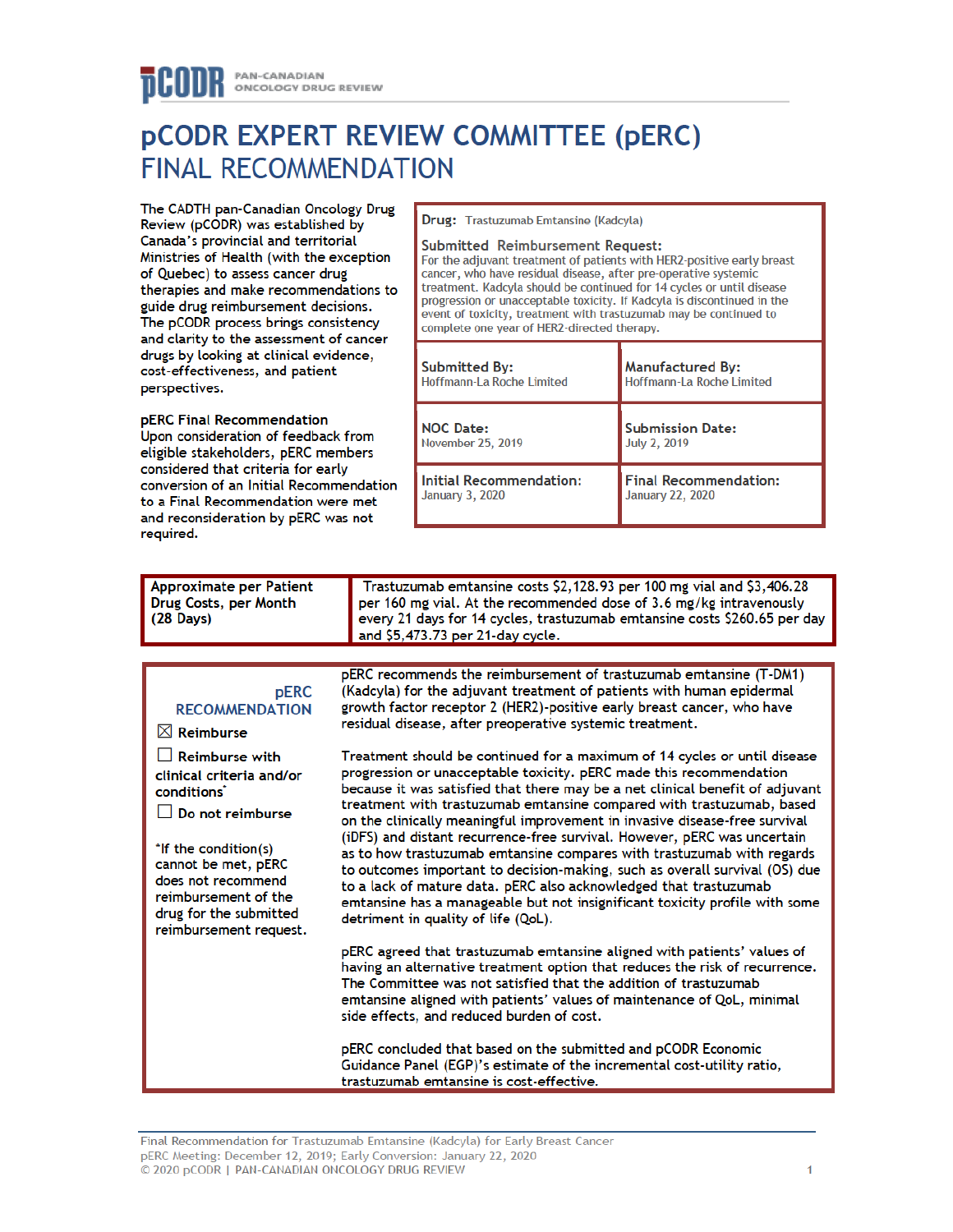# **PCODR EXPERT REVIEW COMMITTEE (PERC) FINAL RECOMMENDATION**

The CADTH pan-Canadian Oncology Drug Review (pCODR) was established by Canada's provincial and territorial Ministries of Health (with the exception of Quebec) to assess cancer drug therapies and make recommendations to guide drug reimbursement decisions. The pCODR process brings consistency and clarity to the assessment of cancer drugs by looking at clinical evidence, cost-effectiveness, and patient perspectives.

pERC Final Recommendation Upon consideration of feedback from eligible stakeholders, pERC members considered that criteria for early conversion of an Initial Recommendation to a Final Recommendation were met and reconsideration by pERC was not required.

 $\boxtimes$  Reimburse

conditions<sup>\*</sup>

cannot be met, pERC

does not recommend

reimbursement of the

drug for the submitted

reimbursement request.

#### Drug: Trastuzumab Emtansine (Kadcyla)

#### **Submitted Reimbursement Request:**

For the adjuvant treatment of patients with HER2-positive early breast cancer, who have residual disease, after pre-operative systemic treatment. Kadcyla should be continued for 14 cycles or until disease progression or unacceptable toxicity. If Kadcyla is discontinued in the event of toxicity, treatment with trastuzumab may be continued to complete one year of HER2-directed therapy.

| <b>Submitted By:</b>           | <b>Manufactured By:</b>      |
|--------------------------------|------------------------------|
| Hoffmann-La Roche Limited      | Hoffmann-La Roche Limited    |
| <b>NOC Date:</b>               | <b>Submission Date:</b>      |
| <b>November 25, 2019</b>       | <b>July 2, 2019</b>          |
| <b>Initial Recommendation:</b> | <b>Final Recommendation:</b> |
| January 3, 2020                | <b>January 22, 2020</b>      |

| Approximate per Patient | Trastuzumab emtansine costs \$2,128.93 per 100 mg vial and \$3,406.28     |  |
|-------------------------|---------------------------------------------------------------------------|--|
| Drug Costs, per Month   | per 160 mg vial. At the recommended dose of 3.6 mg/kg intravenously       |  |
| $(28 \text{ Days})$     | every 21 days for 14 cycles, trastuzumab emtansine costs \$260.65 per day |  |
|                         | and $$5,473.73$ per 21-day cycle.                                         |  |

#### pERC recommends the reimbursement of trastuzumab emtansine (T-DM1) **pERC** (Kadcyla) for the adjuvant treatment of patients with human epidermal growth factor receptor 2 (HER2)-positive early breast cancer, who have **RECOMMENDATION** residual disease, after preoperative systemic treatment.  $\Box$  Reimburse with Treatment should be continued for a maximum of 14 cycles or until disease clinical criteria and/or progression or unacceptable toxicity. pERC made this recommendation because it was satisfied that there may be a net clinical benefit of adjuvant treatment with trastuzumab emtansine compared with trastuzumab, based  $\Box$  Do not reimburse on the clinically meaningful improvement in invasive disease-free survival (iDFS) and distant recurrence-free survival. However, pERC was uncertain \*If the condition(s) as to how trastuzumab emtansine compares with trastuzumab with regards

to outcomes important to decision-making, such as overall survival (OS) due to a lack of mature data. pERC also acknowledged that trastuzumab emtansine has a manageable but not insignificant toxicity profile with some detriment in quality of life (QoL).

pERC agreed that trastuzumab emtansine aligned with patients' values of having an alternative treatment option that reduces the risk of recurrence. The Committee was not satisfied that the addition of trastuzumab emtansine aligned with patients' values of maintenance of QoL, minimal side effects, and reduced burden of cost.

pERC concluded that based on the submitted and pCODR Economic Guidance Panel (EGP)'s estimate of the incremental cost-utility ratio. trastuzumab emtansine is cost-effective.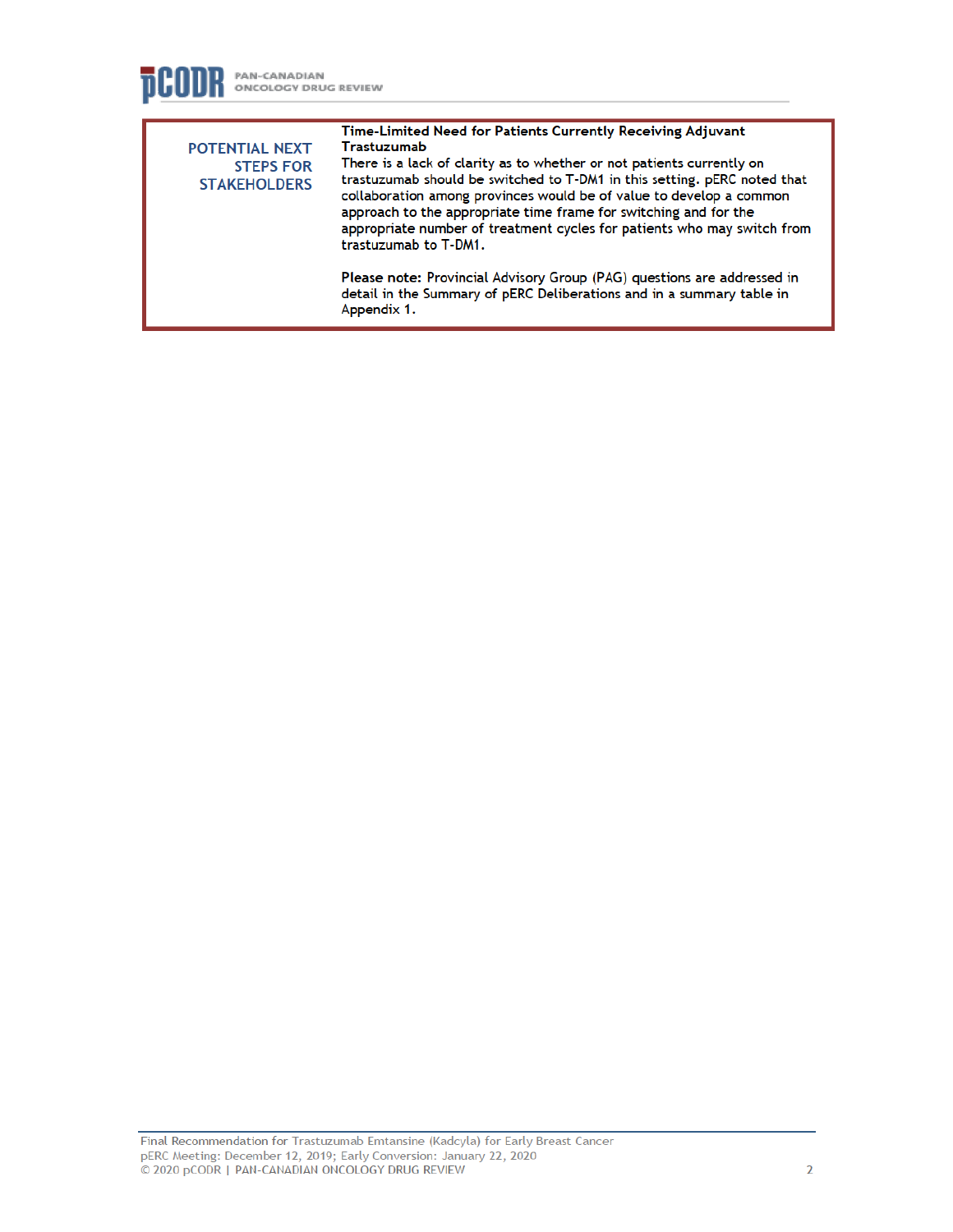

| <b>POTENTIAL NEXT</b><br><b>STEPS FOR</b><br><b>STAKEHOLDERS</b> | Time-Limited Need for Patients Currently Receiving Adjuvant<br>Trastuzumab<br>There is a lack of clarity as to whether or not patients currently on<br>trastuzumab should be switched to T-DM1 in this setting. pERC noted that<br>collaboration among provinces would be of value to develop a common<br>approach to the appropriate time frame for switching and for the<br>appropriate number of treatment cycles for patients who may switch from<br>trastuzumab to T-DM1. |
|------------------------------------------------------------------|--------------------------------------------------------------------------------------------------------------------------------------------------------------------------------------------------------------------------------------------------------------------------------------------------------------------------------------------------------------------------------------------------------------------------------------------------------------------------------|
|                                                                  | Please note: Provincial Advisory Group (PAG) questions are addressed in<br>detail in the Summary of pERC Deliberations and in a summary table in<br>Appendix 1.                                                                                                                                                                                                                                                                                                                |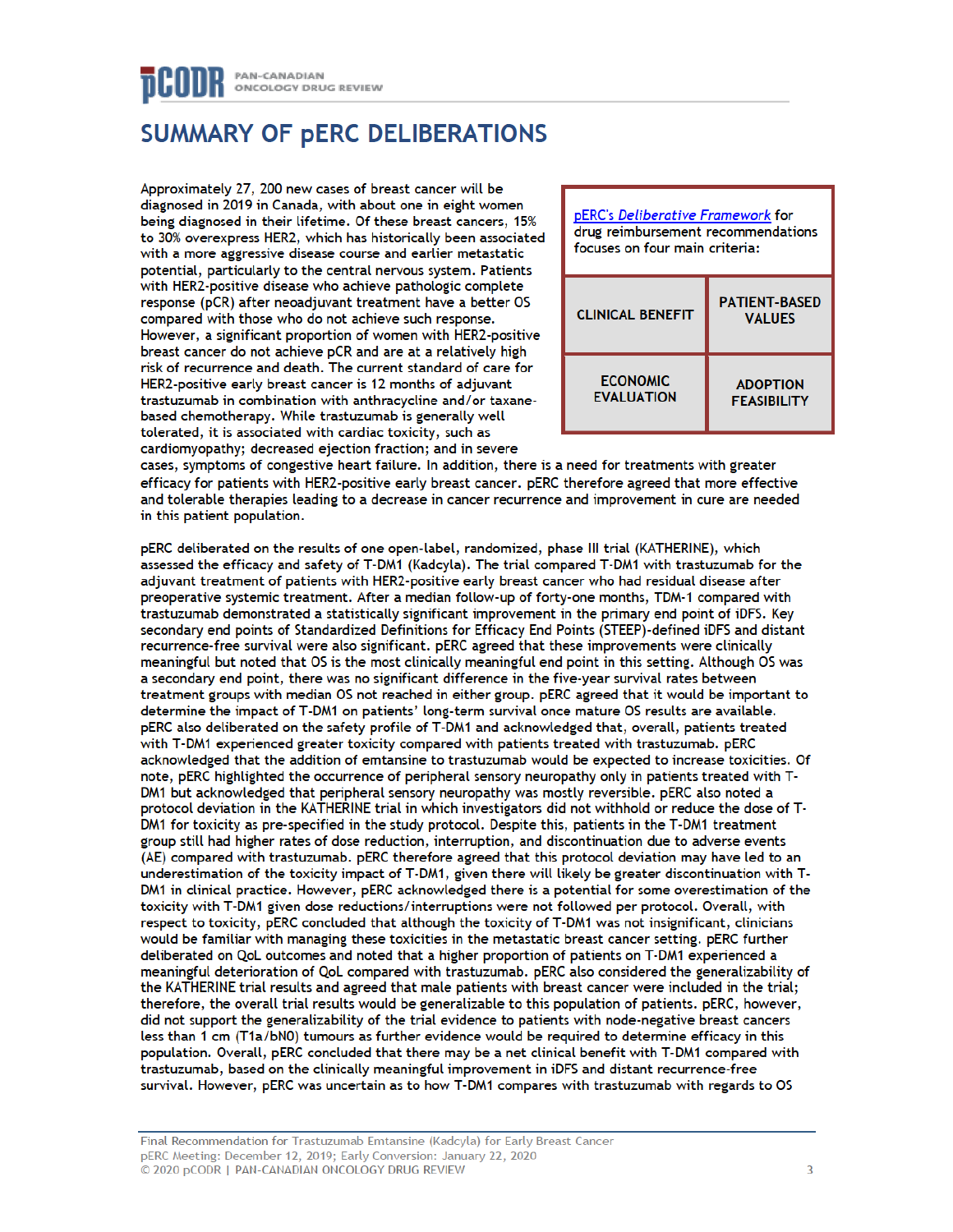## **SUMMARY OF PERC DELIBERATIONS**

Approximately 27, 200 new cases of breast cancer will be diagnosed in 2019 in Canada, with about one in eight women being diagnosed in their lifetime. Of these breast cancers, 15% to 30% overexpress HER2, which has historically been associated with a more aggressive disease course and earlier metastatic potential, particularly to the central nervous system. Patients with HER2-positive disease who achieve pathologic complete response (pCR) after neoadjuvant treatment have a better OS compared with those who do not achieve such response. However, a significant proportion of women with HER2-positive breast cancer do not achieve pCR and are at a relatively high risk of recurrence and death. The current standard of care for HER2-positive early breast cancer is 12 months of adjuvant trastuzumab in combination with anthracycline and/or taxanebased chemotherapy. While trastuzumab is generally well tolerated, it is associated with cardiac toxicity, such as cardiomyopathy: decreased ejection fraction: and in severe



cases, symptoms of congestive heart failure. In addition, there is a need for treatments with greater efficacy for patients with HER2-positive early breast cancer. pERC therefore agreed that more effective and tolerable therapies leading to a decrease in cancer recurrence and improvement in cure are needed in this patient population.

pERC deliberated on the results of one open-label, randomized, phase III trial (KATHERINE), which assessed the efficacy and safety of T-DM1 (Kadcyla). The trial compared T-DM1 with trastuzumab for the adjuvant treatment of patients with HER2-positive early breast cancer who had residual disease after preoperative systemic treatment. After a median follow-up of forty-one months, TDM-1 compared with trastuzumab demonstrated a statistically significant improvement in the primary end point of iDFS. Key secondary end points of Standardized Definitions for Efficacy End Points (STEEP)-defined iDFS and distant recurrence-free survival were also significant. pERC agreed that these improvements were clinically meaningful but noted that OS is the most clinically meaningful end point in this setting. Although OS was a secondary end point, there was no significant difference in the five-year survival rates between treatment groups with median OS not reached in either group. pERC agreed that it would be important to determine the impact of T-DM1 on patients' long-term survival once mature OS results are available. pERC also deliberated on the safety profile of T-DM1 and acknowledged that, overall, patients treated with T-DM1 experienced greater toxicity compared with patients treated with trastuzumab. pERC acknowledged that the addition of emtansine to trastuzumab would be expected to increase toxicities. Of note, pERC highlighted the occurrence of peripheral sensory neuropathy only in patients treated with T-DM1 but acknowledged that peripheral sensory neuropathy was mostly reversible. pERC also noted a protocol deviation in the KATHERINE trial in which investigators did not withhold or reduce the dose of T-DM1 for toxicity as pre-specified in the study protocol. Despite this, patients in the T-DM1 treatment group still had higher rates of dose reduction, interruption, and discontinuation due to adverse events (AE) compared with trastuzumab. pERC therefore agreed that this protocol deviation may have led to an underestimation of the toxicity impact of T-DM1, given there will likely be greater discontinuation with T-DM1 in clinical practice. However, pERC acknowledged there is a potential for some overestimation of the toxicity with T-DM1 given dose reductions/interruptions were not followed per protocol. Overall, with respect to toxicity, pERC concluded that although the toxicity of T-DM1 was not insignificant, clinicians would be familiar with managing these toxicities in the metastatic breast cancer setting. pERC further deliberated on QoL outcomes and noted that a higher proportion of patients on T-DM1 experienced a meaningful deterioration of QoL compared with trastuzumab. pERC also considered the generalizability of the KATHERINE trial results and agreed that male patients with breast cancer were included in the trial; therefore, the overall trial results would be generalizable to this population of patients. pERC, however, did not support the generalizability of the trial evidence to patients with node-negative breast cancers less than 1 cm (T1a/bN0) tumours as further evidence would be required to determine efficacy in this population. Overall, pERC concluded that there may be a net clinical benefit with T-DM1 compared with trastuzumab, based on the clinically meaningful improvement in iDFS and distant recurrence-free survival. However, pERC was uncertain as to how T-DM1 compares with trastuzumab with regards to OS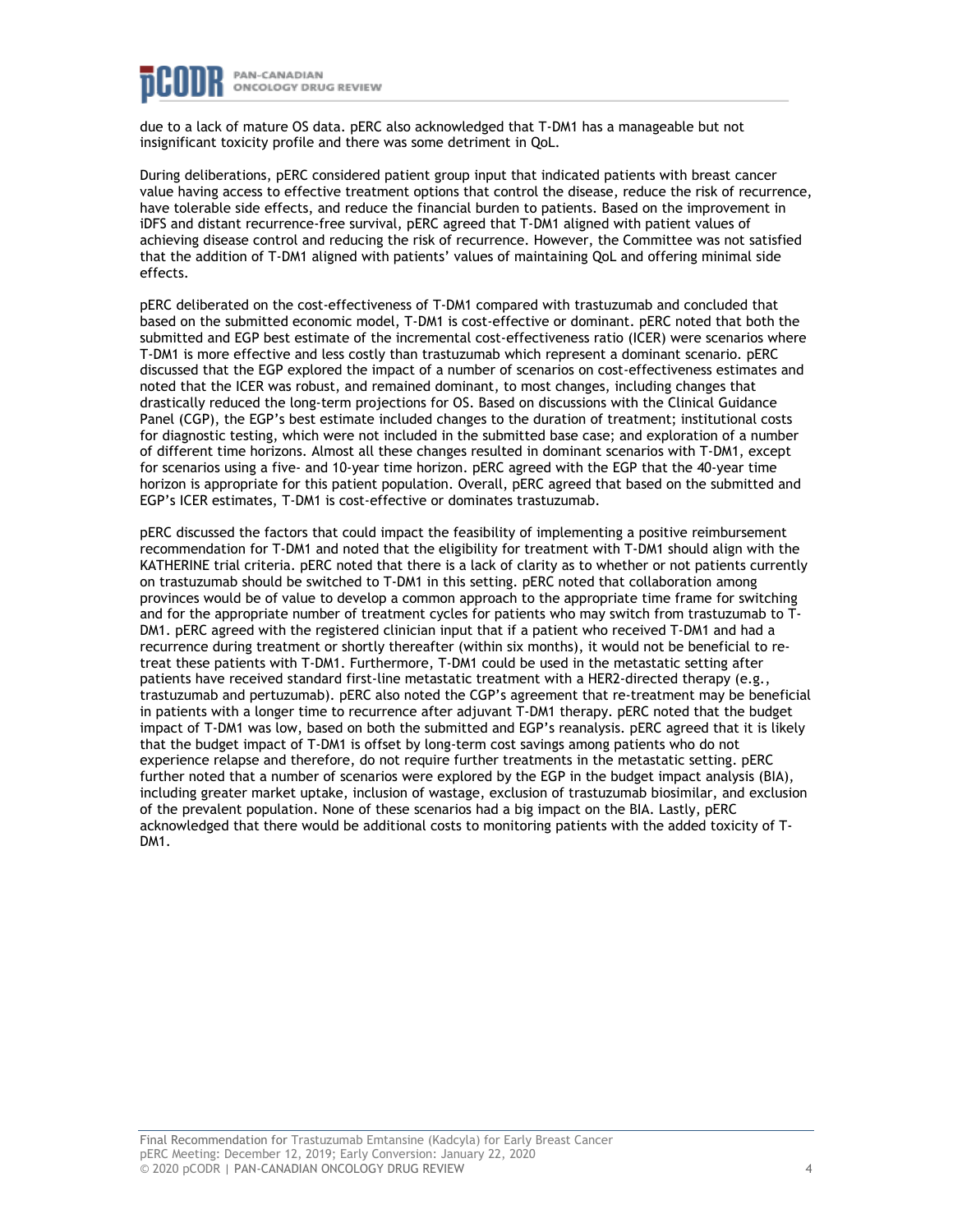

due to a lack of mature OS data. pERC also acknowledged that T-DM1 has a manageable but not insignificant toxicity profile and there was some detriment in QoL.

During deliberations, pERC considered patient group input that indicated patients with breast cancer value having access to effective treatment options that control the disease, reduce the risk of recurrence, have tolerable side effects, and reduce the financial burden to patients. Based on the improvement in iDFS and distant recurrence-free survival, pERC agreed that T-DM1 aligned with patient values of achieving disease control and reducing the risk of recurrence. However, the Committee was not satisfied that the addition of T-DM1 aligned with patients' values of maintaining QoL and offering minimal side effects.

pERC deliberated on the cost-effectiveness of T-DM1 compared with trastuzumab and concluded that based on the submitted economic model, T-DM1 is cost-effective or dominant. pERC noted that both the submitted and EGP best estimate of the incremental cost-effectiveness ratio (ICER) were scenarios where T-DM1 is more effective and less costly than trastuzumab which represent a dominant scenario. pERC discussed that the EGP explored the impact of a number of scenarios on cost-effectiveness estimates and noted that the ICER was robust, and remained dominant, to most changes, including changes that drastically reduced the long-term projections for OS. Based on discussions with the Clinical Guidance Panel (CGP), the EGP's best estimate included changes to the duration of treatment; institutional costs for diagnostic testing, which were not included in the submitted base case; and exploration of a number of different time horizons. Almost all these changes resulted in dominant scenarios with T-DM1, except for scenarios using a five- and 10-year time horizon. pERC agreed with the EGP that the 40-year time horizon is appropriate for this patient population. Overall, pERC agreed that based on the submitted and EGP's ICER estimates, T-DM1 is cost-effective or dominates trastuzumab.

pERC discussed the factors that could impact the feasibility of implementing a positive reimbursement recommendation for T-DM1 and noted that the eligibility for treatment with T-DM1 should align with the KATHERINE trial criteria. pERC noted that there is a lack of clarity as to whether or not patients currently on trastuzumab should be switched to T-DM1 in this setting. pERC noted that collaboration among provinces would be of value to develop a common approach to the appropriate time frame for switching and for the appropriate number of treatment cycles for patients who may switch from trastuzumab to T-DM1. pERC agreed with the registered clinician input that if a patient who received T-DM1 and had a recurrence during treatment or shortly thereafter (within six months), it would not be beneficial to retreat these patients with T-DM1. Furthermore, T-DM1 could be used in the metastatic setting after patients have received standard first-line metastatic treatment with a HER2-directed therapy (e.g., trastuzumab and pertuzumab). pERC also noted the CGP's agreement that re-treatment may be beneficial in patients with a longer time to recurrence after adjuvant T-DM1 therapy. pERC noted that the budget impact of T-DM1 was low, based on both the submitted and EGP's reanalysis. pERC agreed that it is likely that the budget impact of T-DM1 is offset by long-term cost savings among patients who do not experience relapse and therefore, do not require further treatments in the metastatic setting. pERC further noted that a number of scenarios were explored by the EGP in the budget impact analysis (BIA), including greater market uptake, inclusion of wastage, exclusion of trastuzumab biosimilar, and exclusion of the prevalent population. None of these scenarios had a big impact on the BIA. Lastly, pERC acknowledged that there would be additional costs to monitoring patients with the added toxicity of T-DM<sub>1</sub>.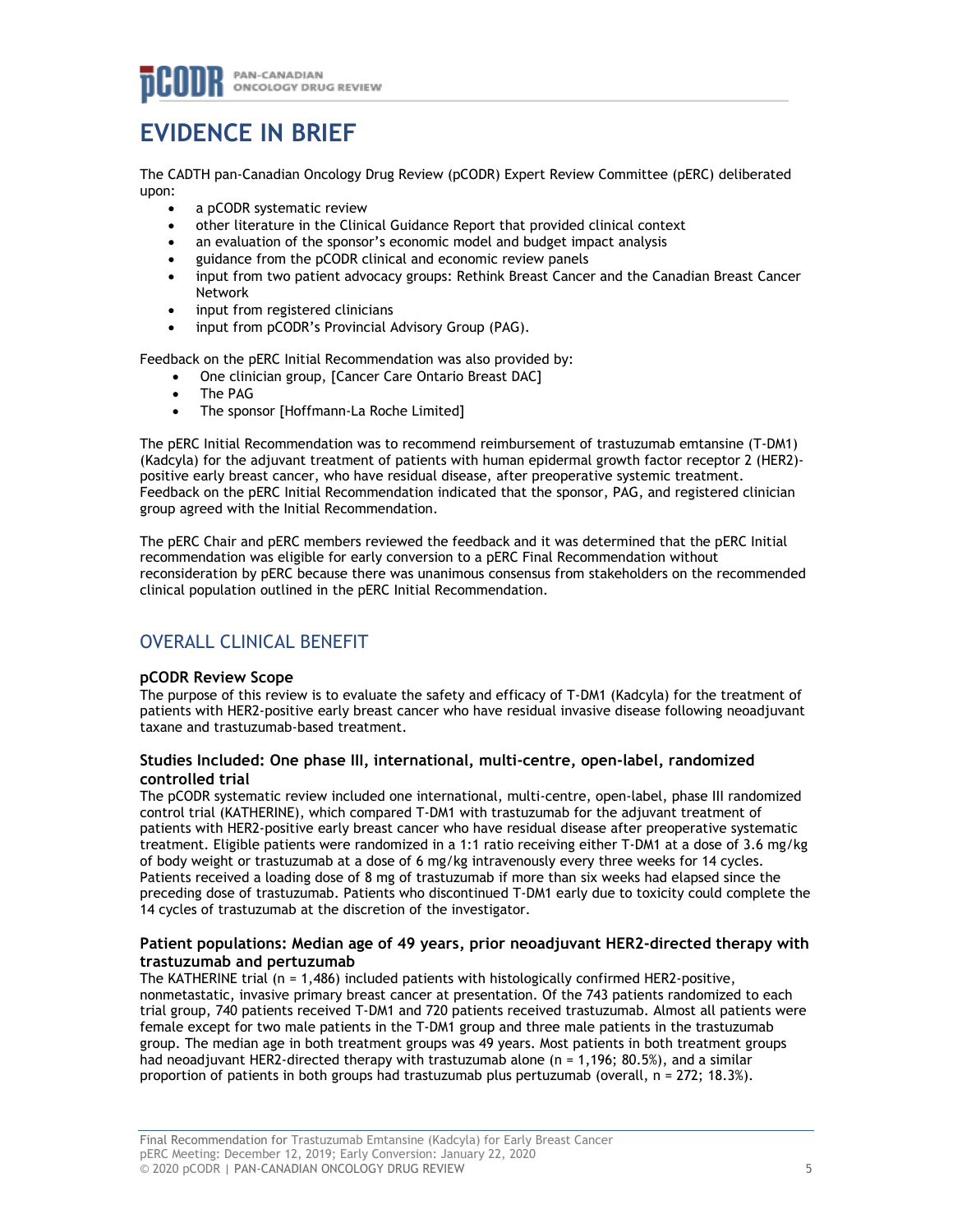## **EVIDENCE IN BRIEF**

The CADTH pan-Canadian Oncology Drug Review (pCODR) Expert Review Committee (pERC) deliberated upon:

- a pCODR systematic review
- other literature in the Clinical Guidance Report that provided clinical context
- an evaluation of the sponsor's economic model and budget impact analysis
- guidance from the pCODR clinical and economic review panels
- input from two patient advocacy groups: Rethink Breast Cancer and the Canadian Breast Cancer Network
- input from registered clinicians
- input from pCODR's Provincial Advisory Group (PAG).

Feedback on the pERC Initial Recommendation was also provided by:

- One clinician group, [Cancer Care Ontario Breast DAC]
- The PAG
- The sponsor [Hoffmann-La Roche Limited]

The pERC Initial Recommendation was to recommend reimbursement of trastuzumab emtansine (T-DM1) (Kadcyla) for the adjuvant treatment of patients with human epidermal growth factor receptor 2 (HER2) positive early breast cancer, who have residual disease, after preoperative systemic treatment. Feedback on the pERC Initial Recommendation indicated that the sponsor, PAG, and registered clinician group agreed with the Initial Recommendation.

The pERC Chair and pERC members reviewed the feedback and it was determined that the pERC Initial recommendation was eligible for early conversion to a pERC Final Recommendation without reconsideration by pERC because there was unanimous consensus from stakeholders on the recommended clinical population outlined in the pERC Initial Recommendation.

## OVERALL CLINICAL BENEFIT

### **pCODR Review Scope**

The purpose of this review is to evaluate the safety and efficacy of T-DM1 (Kadcyla) for the treatment of patients with HER2-positive early breast cancer who have residual invasive disease following neoadjuvant taxane and trastuzumab-based treatment.

#### **Studies Included: One phase III, international, multi-centre, open-label, randomized controlled trial**

The pCODR systematic review included one international, multi-centre, open-label, phase III randomized control trial (KATHERINE), which compared T-DM1 with trastuzumab for the adjuvant treatment of patients with HER2-positive early breast cancer who have residual disease after preoperative systematic treatment. Eligible patients were randomized in a 1:1 ratio receiving either T-DM1 at a dose of 3.6 mg/kg of body weight or trastuzumab at a dose of 6 mg/kg intravenously every three weeks for 14 cycles. Patients received a loading dose of 8 mg of trastuzumab if more than six weeks had elapsed since the preceding dose of trastuzumab. Patients who discontinued T-DM1 early due to toxicity could complete the 14 cycles of trastuzumab at the discretion of the investigator.

### **Patient populations: Median age of 49 years, prior neoadjuvant HER2-directed therapy with trastuzumab and pertuzumab**

The KATHERINE trial (n = 1,486) included patients with histologically confirmed HER2-positive, nonmetastatic, invasive primary breast cancer at presentation. Of the 743 patients randomized to each trial group, 740 patients received T-DM1 and 720 patients received trastuzumab. Almost all patients were female except for two male patients in the T-DM1 group and three male patients in the trastuzumab group. The median age in both treatment groups was 49 years. Most patients in both treatment groups had neoadjuvant HER2-directed therapy with trastuzumab alone (n = 1,196; 80.5%), and a similar proportion of patients in both groups had trastuzumab plus pertuzumab (overall, n = 272; 18.3%).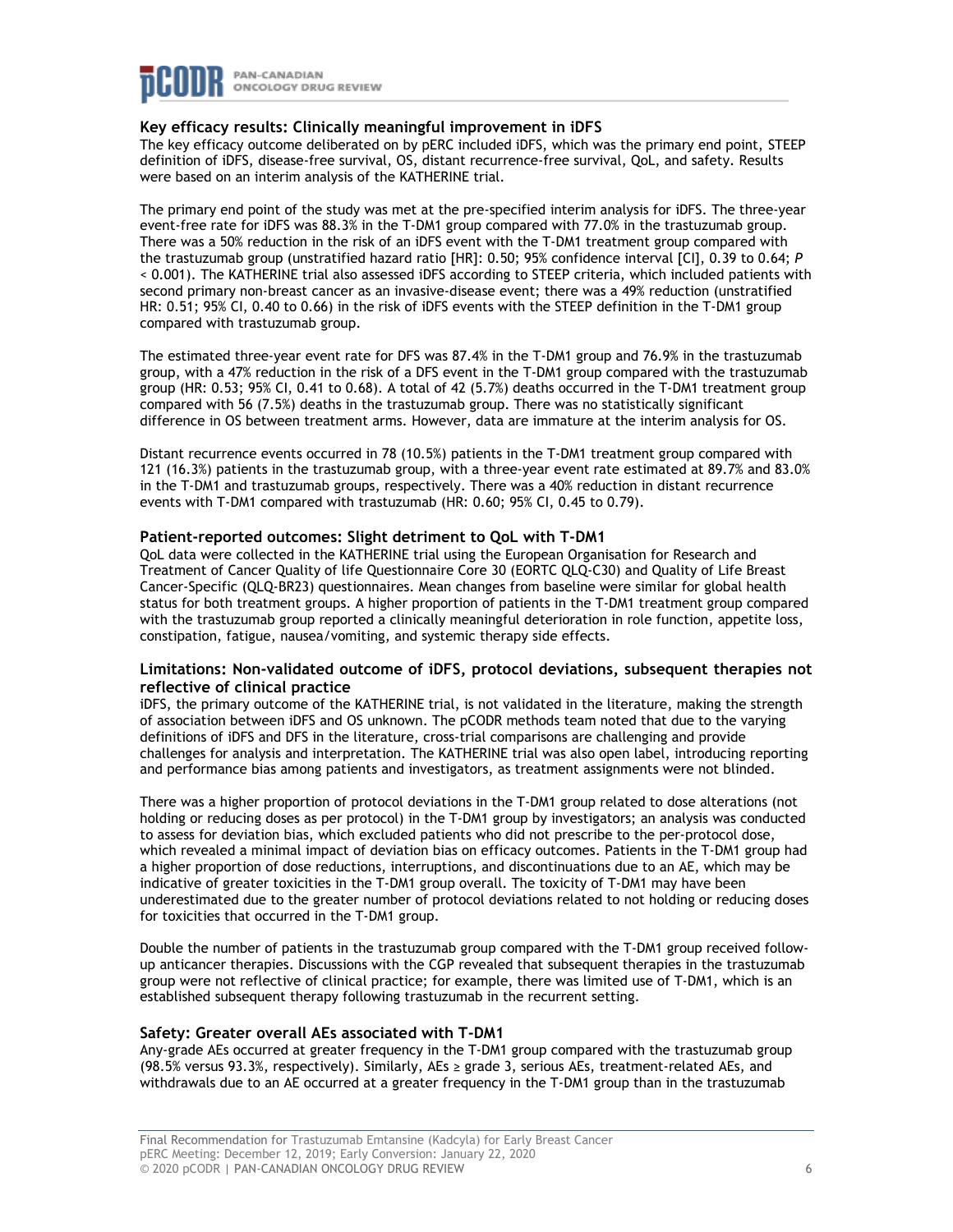

#### **Key efficacy results: Clinically meaningful improvement in iDFS**

The key efficacy outcome deliberated on by pERC included iDFS, which was the primary end point, STEEP definition of iDFS, disease-free survival, OS, distant recurrence-free survival, QoL, and safety. Results were based on an interim analysis of the KATHERINE trial.

The primary end point of the study was met at the pre-specified interim analysis for iDFS. The three-year event-free rate for iDFS was 88.3% in the T-DM1 group compared with 77.0% in the trastuzumab group. There was a 50% reduction in the risk of an iDFS event with the T-DM1 treatment group compared with the trastuzumab group (unstratified hazard ratio [HR]: 0.50; 95% confidence interval [CI], 0.39 to 0.64; *P* < 0.001). The KATHERINE trial also assessed iDFS according to STEEP criteria, which included patients with second primary non-breast cancer as an invasive-disease event; there was a 49% reduction (unstratified HR: 0.51; 95% CI, 0.40 to 0.66) in the risk of iDFS events with the STEEP definition in the T-DM1 group compared with trastuzumab group.

The estimated three-year event rate for DFS was 87.4% in the T-DM1 group and 76.9% in the trastuzumab group, with a 47% reduction in the risk of a DFS event in the T-DM1 group compared with the trastuzumab group (HR: 0.53; 95% CI, 0.41 to 0.68). A total of 42 (5.7%) deaths occurred in the T-DM1 treatment group compared with 56 (7.5%) deaths in the trastuzumab group. There was no statistically significant difference in OS between treatment arms. However, data are immature at the interim analysis for OS.

Distant recurrence events occurred in 78 (10.5%) patients in the T-DM1 treatment group compared with 121 (16.3%) patients in the trastuzumab group, with a three-year event rate estimated at 89.7% and 83.0% in the T-DM1 and trastuzumab groups, respectively. There was a 40% reduction in distant recurrence events with T-DM1 compared with trastuzumab (HR: 0.60; 95% CI, 0.45 to 0.79).

#### **Patient-reported outcomes: Slight detriment to QoL with T-DM1**

QoL data were collected in the KATHERINE trial using the European Organisation for Research and Treatment of Cancer Quality of life Questionnaire Core 30 (EORTC QLQ-C30) and Quality of Life Breast Cancer-Specific (QLQ-BR23) questionnaires. Mean changes from baseline were similar for global health status for both treatment groups. A higher proportion of patients in the T-DM1 treatment group compared with the trastuzumab group reported a clinically meaningful deterioration in role function, appetite loss, constipation, fatigue, nausea/vomiting, and systemic therapy side effects.

### **Limitations: Non-validated outcome of iDFS, protocol deviations, subsequent therapies not reflective of clinical practice**

iDFS, the primary outcome of the KATHERINE trial, is not validated in the literature, making the strength of association between iDFS and OS unknown. The pCODR methods team noted that due to the varying definitions of iDFS and DFS in the literature, cross-trial comparisons are challenging and provide challenges for analysis and interpretation. The KATHERINE trial was also open label, introducing reporting and performance bias among patients and investigators, as treatment assignments were not blinded.

There was a higher proportion of protocol deviations in the T-DM1 group related to dose alterations (not holding or reducing doses as per protocol) in the T-DM1 group by investigators; an analysis was conducted to assess for deviation bias, which excluded patients who did not prescribe to the per-protocol dose, which revealed a minimal impact of deviation bias on efficacy outcomes. Patients in the T-DM1 group had a higher proportion of dose reductions, interruptions, and discontinuations due to an AE, which may be indicative of greater toxicities in the T-DM1 group overall. The toxicity of T-DM1 may have been underestimated due to the greater number of protocol deviations related to not holding or reducing doses for toxicities that occurred in the T-DM1 group.

Double the number of patients in the trastuzumab group compared with the T-DM1 group received followup anticancer therapies. Discussions with the CGP revealed that subsequent therapies in the trastuzumab group were not reflective of clinical practice; for example, there was limited use of T-DM1, which is an established subsequent therapy following trastuzumab in the recurrent setting.

#### **Safety: Greater overall AEs associated with T-DM1**

Any-grade AEs occurred at greater frequency in the T-DM1 group compared with the trastuzumab group (98.5% versus 93.3%, respectively). Similarly, AEs ≥ grade 3, serious AEs, treatment-related AEs, and withdrawals due to an AE occurred at a greater frequency in the T-DM1 group than in the trastuzumab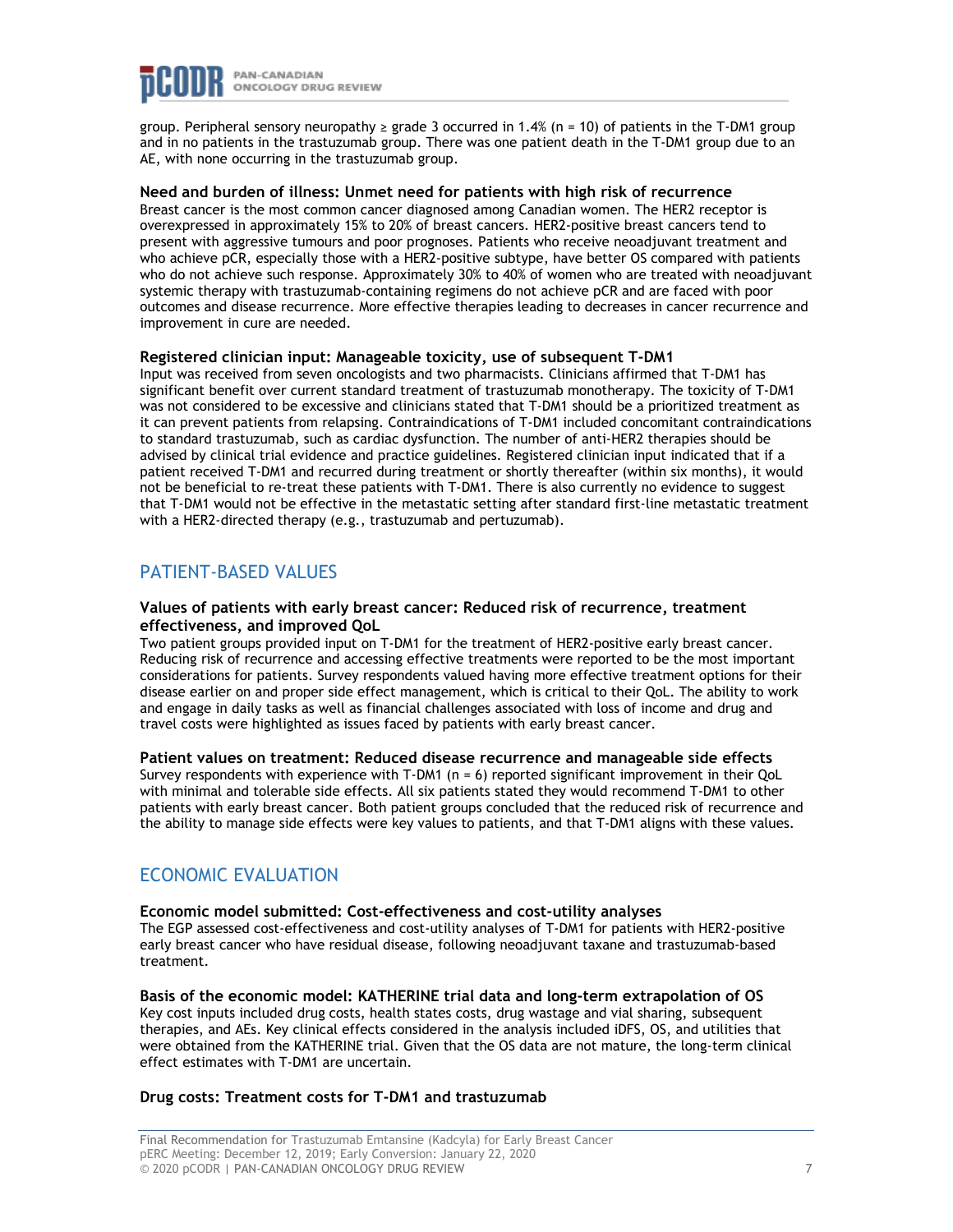

group. Peripheral sensory neuropathy  $\geq$  grade 3 occurred in 1.4% (n = 10) of patients in the T-DM1 group and in no patients in the trastuzumab group. There was one patient death in the T-DM1 group due to an AE, with none occurring in the trastuzumab group.

#### **Need and burden of illness: Unmet need for patients with high risk of recurrence**

Breast cancer is the most common cancer diagnosed among Canadian women. The HER2 receptor is overexpressed in approximately 15% to 20% of breast cancers. HER2-positive breast cancers tend to present with aggressive tumours and poor prognoses. Patients who receive neoadjuvant treatment and who achieve pCR, especially those with a HER2-positive subtype, have better OS compared with patients who do not achieve such response. Approximately 30% to 40% of women who are treated with neoadjuvant systemic therapy with trastuzumab-containing regimens do not achieve pCR and are faced with poor outcomes and disease recurrence. More effective therapies leading to decreases in cancer recurrence and improvement in cure are needed.

#### **Registered clinician input: Manageable toxicity, use of subsequent T-DM1**

Input was received from seven oncologists and two pharmacists. Clinicians affirmed that T-DM1 has significant benefit over current standard treatment of trastuzumab monotherapy. The toxicity of T-DM1 was not considered to be excessive and clinicians stated that T-DM1 should be a prioritized treatment as it can prevent patients from relapsing. Contraindications of T-DM1 included concomitant contraindications to standard trastuzumab, such as cardiac dysfunction. The number of anti-HER2 therapies should be advised by clinical trial evidence and practice guidelines. Registered clinician input indicated that if a patient received T-DM1 and recurred during treatment or shortly thereafter (within six months), it would not be beneficial to re-treat these patients with T-DM1. There is also currently no evidence to suggest that T-DM1 would not be effective in the metastatic setting after standard first-line metastatic treatment with a HER2-directed therapy (e.g., trastuzumab and pertuzumab).

### PATIENT-BASED VALUES

#### **Values of patients with early breast cancer: Reduced risk of recurrence, treatment effectiveness, and improved QoL**

Two patient groups provided input on T-DM1 for the treatment of HER2-positive early breast cancer. Reducing risk of recurrence and accessing effective treatments were reported to be the most important considerations for patients. Survey respondents valued having more effective treatment options for their disease earlier on and proper side effect management, which is critical to their QoL. The ability to work and engage in daily tasks as well as financial challenges associated with loss of income and drug and travel costs were highlighted as issues faced by patients with early breast cancer.

#### **Patient values on treatment: Reduced disease recurrence and manageable side effects**

Survey respondents with experience with T-DM1 (n = 6) reported significant improvement in their QoL with minimal and tolerable side effects. All six patients stated they would recommend T-DM1 to other patients with early breast cancer. Both patient groups concluded that the reduced risk of recurrence and the ability to manage side effects were key values to patients, and that T-DM1 aligns with these values.

### ECONOMIC EVALUATION

#### **Economic model submitted: Cost-effectiveness and cost-utility analyses**

The EGP assessed cost-effectiveness and cost-utility analyses of T-DM1 for patients with HER2-positive early breast cancer who have residual disease, following neoadjuvant taxane and trastuzumab-based treatment.

**Basis of the economic model: KATHERINE trial data and long-term extrapolation of OS** Key cost inputs included drug costs, health states costs, drug wastage and vial sharing, subsequent therapies, and AEs. Key clinical effects considered in the analysis included iDFS, OS, and utilities that were obtained from the KATHERINE trial. Given that the OS data are not mature, the long-term clinical effect estimates with T-DM1 are uncertain.

#### **Drug costs: Treatment costs for T-DM1 and trastuzumab**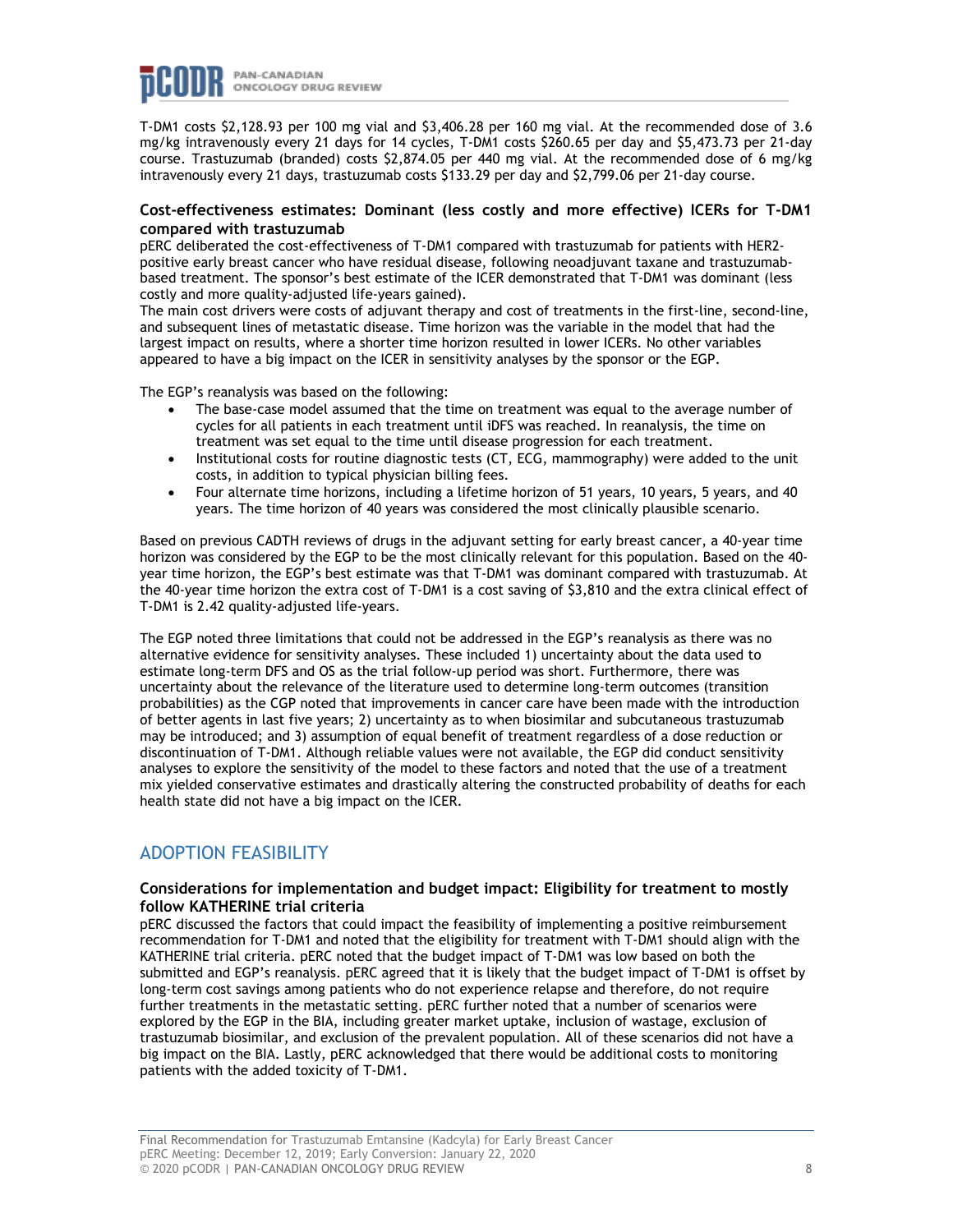

T-DM1 costs \$2,128.93 per 100 mg vial and \$3,406.28 per 160 mg vial. At the recommended dose of 3.6 mg/kg intravenously every 21 days for 14 cycles, T-DM1 costs \$260.65 per day and \$5,473.73 per 21-day course. Trastuzumab (branded) costs \$2,874.05 per 440 mg vial. At the recommended dose of 6 mg/kg intravenously every 21 days, trastuzumab costs \$133.29 per day and \$2,799.06 per 21-day course.

#### **Cost-effectiveness estimates: Dominant (less costly and more effective) ICERs for T-DM1 compared with trastuzumab**

pERC deliberated the cost-effectiveness of T-DM1 compared with trastuzumab for patients with HER2 positive early breast cancer who have residual disease, following neoadjuvant taxane and trastuzumabbased treatment. The sponsor's best estimate of the ICER demonstrated that T-DM1 was dominant (less costly and more quality-adjusted life-years gained).

The main cost drivers were costs of adjuvant therapy and cost of treatments in the first-line, second-line, and subsequent lines of metastatic disease. Time horizon was the variable in the model that had the largest impact on results, where a shorter time horizon resulted in lower ICERs. No other variables appeared to have a big impact on the ICER in sensitivity analyses by the sponsor or the EGP.

The EGP's reanalysis was based on the following:

- The base-case model assumed that the time on treatment was equal to the average number of cycles for all patients in each treatment until iDFS was reached. In reanalysis, the time on treatment was set equal to the time until disease progression for each treatment.
- Institutional costs for routine diagnostic tests (CT, ECG, mammography) were added to the unit costs, in addition to typical physician billing fees.
- Four alternate time horizons, including a lifetime horizon of 51 years, 10 years, 5 years, and 40 years. The time horizon of 40 years was considered the most clinically plausible scenario.

Based on previous CADTH reviews of drugs in the adjuvant setting for early breast cancer, a 40-year time horizon was considered by the EGP to be the most clinically relevant for this population. Based on the 40 year time horizon, the EGP's best estimate was that T-DM1 was dominant compared with trastuzumab. At the 40-year time horizon the extra cost of T-DM1 is a cost saving of \$3,810 and the extra clinical effect of T-DM1 is 2.42 quality-adjusted life-years.

The EGP noted three limitations that could not be addressed in the EGP's reanalysis as there was no alternative evidence for sensitivity analyses. These included 1) uncertainty about the data used to estimate long-term DFS and OS as the trial follow-up period was short. Furthermore, there was uncertainty about the relevance of the literature used to determine long-term outcomes (transition probabilities) as the CGP noted that improvements in cancer care have been made with the introduction of better agents in last five years; 2) uncertainty as to when biosimilar and subcutaneous trastuzumab may be introduced; and 3) assumption of equal benefit of treatment regardless of a dose reduction or discontinuation of T-DM1. Although reliable values were not available, the EGP did conduct sensitivity analyses to explore the sensitivity of the model to these factors and noted that the use of a treatment mix yielded conservative estimates and drastically altering the constructed probability of deaths for each health state did not have a big impact on the ICER.

## ADOPTION FEASIBILITY

#### **Considerations for implementation and budget impact: Eligibility for treatment to mostly follow KATHERINE trial criteria**

pERC discussed the factors that could impact the feasibility of implementing a positive reimbursement recommendation for T-DM1 and noted that the eligibility for treatment with T-DM1 should align with the KATHERINE trial criteria. pERC noted that the budget impact of T-DM1 was low based on both the submitted and EGP's reanalysis. pERC agreed that it is likely that the budget impact of T-DM1 is offset by long-term cost savings among patients who do not experience relapse and therefore, do not require further treatments in the metastatic setting. pERC further noted that a number of scenarios were explored by the EGP in the BIA, including greater market uptake, inclusion of wastage, exclusion of trastuzumab biosimilar, and exclusion of the prevalent population. All of these scenarios did not have a big impact on the BIA. Lastly, pERC acknowledged that there would be additional costs to monitoring patients with the added toxicity of T-DM1.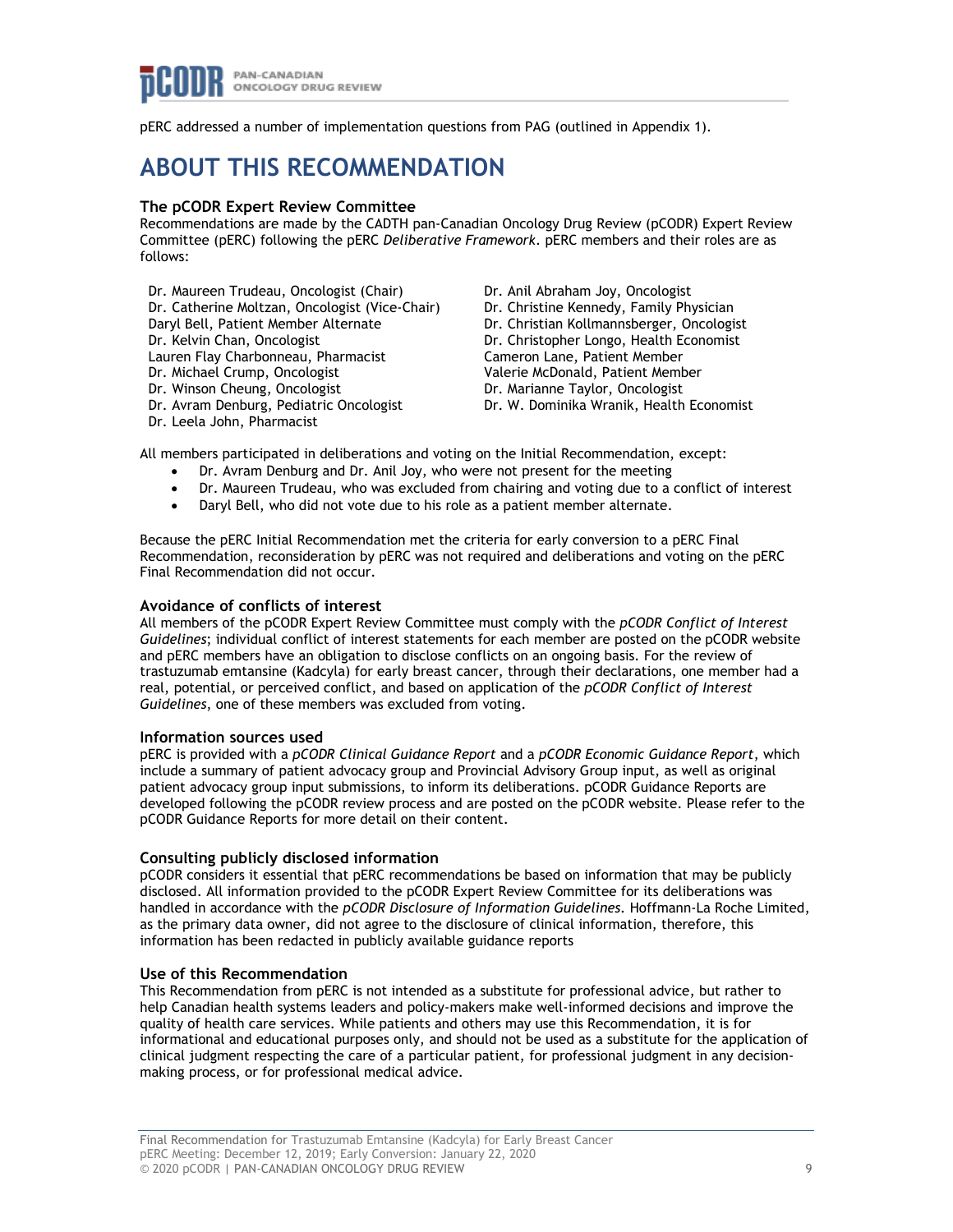

pERC addressed a number of implementation questions from PAG (outlined in Appendix 1).

## **ABOUT THIS RECOMMENDATION**

#### **The pCODR Expert Review Committee**

Recommendations are made by the CADTH pan-Canadian Oncology Drug Review (pCODR) Expert Review Committee (pERC) following the pERC *Deliberative Framework*. pERC members and their roles are as follows:

Dr. Maureen Trudeau, Oncologist (Chair) Dr. Catherine Moltzan, Oncologist (Vice-Chair) Daryl Bell, Patient Member Alternate Dr. Kelvin Chan, Oncologist Lauren Flay Charbonneau, Pharmacist Dr. Michael Crump, Oncologist Dr. Winson Cheung, Oncologist Dr. Avram Denburg, Pediatric Oncologist Dr. Leela John, Pharmacist

Dr. Anil Abraham Joy, Oncologist Dr. Christine Kennedy, Family Physician Dr. Christian Kollmannsberger, Oncologist Dr. Christopher Longo, Health Economist Cameron Lane, Patient Member Valerie McDonald, Patient Member Dr. Marianne Taylor, Oncologist Dr. W. Dominika Wranik, Health Economist

All members participated in deliberations and voting on the Initial Recommendation, except:

- Dr. Avram Denburg and Dr. Anil Joy, who were not present for the meeting
- Dr. Maureen Trudeau, who was excluded from chairing and voting due to a conflict of interest
- Daryl Bell, who did not vote due to his role as a patient member alternate.

Because the pERC Initial Recommendation met the criteria for early conversion to a pERC Final Recommendation, reconsideration by pERC was not required and deliberations and voting on the pERC Final Recommendation did not occur.

#### **Avoidance of conflicts of interest**

All members of the pCODR Expert Review Committee must comply with the *pCODR Conflict of Interest Guidelines*; individual conflict of interest statements for each member are posted on the pCODR website and pERC members have an obligation to disclose conflicts on an ongoing basis. For the review of trastuzumab emtansine (Kadcyla) for early breast cancer, through their declarations, one member had a real, potential, or perceived conflict, and based on application of the *pCODR Conflict of Interest Guidelines*, one of these members was excluded from voting.

#### **Information sources used**

pERC is provided with a *pCODR Clinical Guidance Report* and a *pCODR Economic Guidance Report*, which include a summary of patient advocacy group and Provincial Advisory Group input, as well as original patient advocacy group input submissions, to inform its deliberations. pCODR Guidance Reports are developed following the pCODR review process and are posted on the pCODR website. Please refer to the pCODR Guidance Reports for more detail on their content.

#### **Consulting publicly disclosed information**

pCODR considers it essential that pERC recommendations be based on information that may be publicly disclosed. All information provided to the pCODR Expert Review Committee for its deliberations was handled in accordance with the *pCODR Disclosure of Information Guidelines*. Hoffmann-La Roche Limited, as the primary data owner, did not agree to the disclosure of clinical information, therefore, this information has been redacted in publicly available guidance reports

#### **Use of this Recommendation**

This Recommendation from pERC is not intended as a substitute for professional advice, but rather to help Canadian health systems leaders and policy-makers make well-informed decisions and improve the quality of health care services. While patients and others may use this Recommendation, it is for informational and educational purposes only, and should not be used as a substitute for the application of clinical judgment respecting the care of a particular patient, for professional judgment in any decisionmaking process, or for professional medical advice.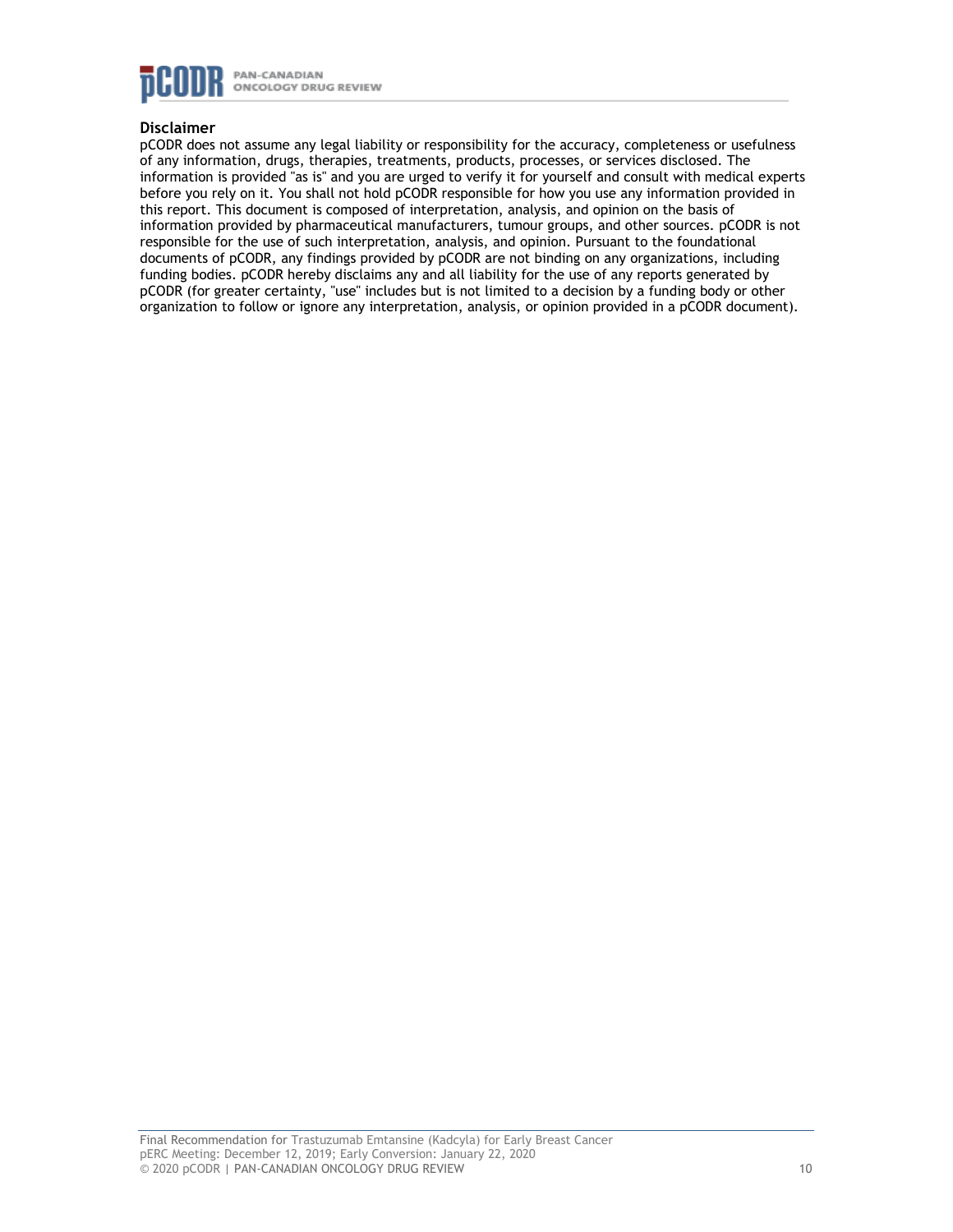

### **Disclaimer**

pCODR does not assume any legal liability or responsibility for the accuracy, completeness or usefulness of any information, drugs, therapies, treatments, products, processes, or services disclosed. The information is provided "as is" and you are urged to verify it for yourself and consult with medical experts before you rely on it. You shall not hold pCODR responsible for how you use any information provided in this report. This document is composed of interpretation, analysis, and opinion on the basis of information provided by pharmaceutical manufacturers, tumour groups, and other sources. pCODR is not responsible for the use of such interpretation, analysis, and opinion. Pursuant to the foundational documents of pCODR, any findings provided by pCODR are not binding on any organizations, including funding bodies. pCODR hereby disclaims any and all liability for the use of any reports generated by pCODR (for greater certainty, "use" includes but is not limited to a decision by a funding body or other organization to follow or ignore any interpretation, analysis, or opinion provided in a pCODR document).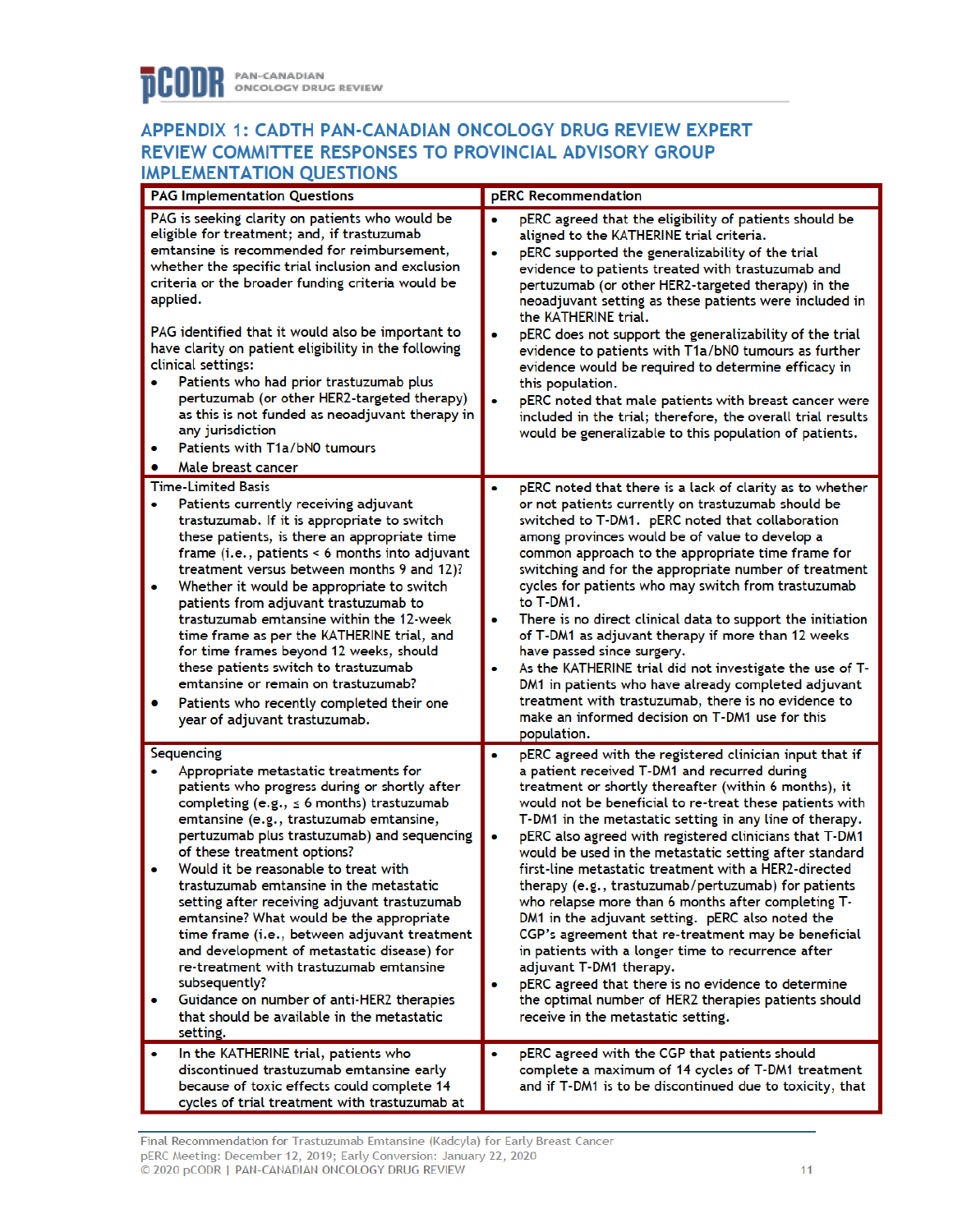### APPENDIX 1: CADTH PAN-CANADIAN ONCOLOGY DRUG REVIEW EXPERT REVIEW COMMITTEE RESPONSES TO PROVINCIAL ADVISORY GROUP **IMPLEMENTATION OUESTIONS**

|        | <u>MILLIMENTATION QUESTIONS</u><br>pERC Recommendation<br><b>PAG Implementation Questions</b>                                                                                                                                                                                                                                                                                                                                                                                                                                                                                                                                                                                                                     |                                                                                                                                                                                                                                                                                                                                                                                                                                                                                                                                                                                                                                                                                                                                                                                                                                                                      |  |  |  |
|--------|-------------------------------------------------------------------------------------------------------------------------------------------------------------------------------------------------------------------------------------------------------------------------------------------------------------------------------------------------------------------------------------------------------------------------------------------------------------------------------------------------------------------------------------------------------------------------------------------------------------------------------------------------------------------------------------------------------------------|----------------------------------------------------------------------------------------------------------------------------------------------------------------------------------------------------------------------------------------------------------------------------------------------------------------------------------------------------------------------------------------------------------------------------------------------------------------------------------------------------------------------------------------------------------------------------------------------------------------------------------------------------------------------------------------------------------------------------------------------------------------------------------------------------------------------------------------------------------------------|--|--|--|
|        |                                                                                                                                                                                                                                                                                                                                                                                                                                                                                                                                                                                                                                                                                                                   |                                                                                                                                                                                                                                                                                                                                                                                                                                                                                                                                                                                                                                                                                                                                                                                                                                                                      |  |  |  |
| ۰      | PAG is seeking clarity on patients who would be<br>eligible for treatment; and, if trastuzumab<br>emtansine is recommended for reimbursement,<br>whether the specific trial inclusion and exclusion<br>criteria or the broader funding criteria would be<br>applied.<br>PAG identified that it would also be important to<br>have clarity on patient eligibility in the following<br>clinical settings:<br>Patients who had prior trastuzumab plus<br>pertuzumab (or other HER2-targeted therapy)<br>as this is not funded as neoadjuvant therapy in<br>any jurisdiction<br>Patients with T1a/bN0 tumours<br>Male breast cancer                                                                                   | pERC agreed that the eligibility of patients should be<br>aligned to the KATHERINE trial criteria.<br>pERC supported the generalizability of the trial<br>evidence to patients treated with trastuzumab and<br>pertuzumab (or other HER2-targeted therapy) in the<br>neoadjuvant setting as these patients were included in<br>the KATHERINE trial.<br>pERC does not support the generalizability of the trial<br>evidence to patients with T1a/bN0 tumours as further<br>evidence would be required to determine efficacy in<br>this population.<br>pERC noted that male patients with breast cancer were<br>included in the trial; therefore, the overall trial results<br>would be generalizable to this population of patients.                                                                                                                                  |  |  |  |
|        | <b>Time-Limited Basis</b>                                                                                                                                                                                                                                                                                                                                                                                                                                                                                                                                                                                                                                                                                         | pERC noted that there is a lack of clarity as to whether                                                                                                                                                                                                                                                                                                                                                                                                                                                                                                                                                                                                                                                                                                                                                                                                             |  |  |  |
| ۰<br>۰ | Patients currently receiving adjuvant<br>trastuzumab. If it is appropriate to switch<br>these patients, is there an appropriate time<br>frame (i.e., patients < 6 months into adjuvant<br>treatment versus between months 9 and 12)?<br>Whether it would be appropriate to switch<br>patients from adjuvant trastuzumab to<br>trastuzumab emtansine within the 12-week<br>time frame as per the KATHERINE trial, and<br>for time frames beyond 12 weeks, should<br>these patients switch to trastuzumab<br>emtansine or remain on trastuzumab?<br>Patients who recently completed their one<br>year of adjuvant trastuzumab.                                                                                      | or not patients currently on trastuzumab should be<br>switched to T-DM1. pERC noted that collaboration<br>among provinces would be of value to develop a<br>common approach to the appropriate time frame for<br>switching and for the appropriate number of treatment<br>cycles for patients who may switch from trastuzumab<br>to T-DM1.<br>There is no direct clinical data to support the initiation<br>of T-DM1 as adjuvant therapy if more than 12 weeks<br>have passed since surgery.<br>As the KATHERINE trial did not investigate the use of T-<br>DM1 in patients who have already completed adjuvant<br>treatment with trastuzumab, there is no evidence to<br>make an informed decision on T-DM1 use for this<br>population.                                                                                                                             |  |  |  |
|        | Sequencing                                                                                                                                                                                                                                                                                                                                                                                                                                                                                                                                                                                                                                                                                                        | pERC agreed with the registered clinician input that if                                                                                                                                                                                                                                                                                                                                                                                                                                                                                                                                                                                                                                                                                                                                                                                                              |  |  |  |
| ۰      | Appropriate metastatic treatments for<br>patients who progress during or shortly after<br>completing (e.g., $\leq$ 6 months) trastuzumab<br>emtansine (e.g., trastuzumab emtansine,<br>pertuzumab plus trastuzumab) and sequencing<br>of these treatment options?<br>Would it be reasonable to treat with<br>trastuzumab emtansine in the metastatic<br>setting after receiving adjuvant trastuzumab<br>emtansine? What would be the appropriate<br>time frame (i.e., between adjuvant treatment<br>and development of metastatic disease) for<br>re-treatment with trastuzumab emtansine<br>subsequently?<br>Guidance on number of anti-HER2 therapies<br>that should be available in the metastatic<br>setting. | a patient received T-DM1 and recurred during<br>treatment or shortly thereafter (within 6 months), it<br>would not be beneficial to re-treat these patients with<br>T-DM1 in the metastatic setting in any line of therapy.<br>pERC also agreed with registered clinicians that T-DM1<br>would be used in the metastatic setting after standard<br>first-line metastatic treatment with a HER2-directed<br>therapy (e.g., trastuzumab/pertuzumab) for patients<br>who relapse more than 6 months after completing T-<br>DM1 in the adjuvant setting. pERC also noted the<br>CGP's agreement that re-treatment may be beneficial<br>in patients with a longer time to recurrence after<br>adjuvant T-DM1 therapy.<br>pERC agreed that there is no evidence to determine<br>the optimal number of HER2 therapies patients should<br>receive in the metastatic setting. |  |  |  |
| ۰      | In the KATHERINE trial, patients who                                                                                                                                                                                                                                                                                                                                                                                                                                                                                                                                                                                                                                                                              | pERC agreed with the CGP that patients should                                                                                                                                                                                                                                                                                                                                                                                                                                                                                                                                                                                                                                                                                                                                                                                                                        |  |  |  |
|        | discontinued trastuzumab emtansine early<br>because of toxic effects could complete 14<br>cycles of trial treatment with trastuzumab at                                                                                                                                                                                                                                                                                                                                                                                                                                                                                                                                                                           | complete a maximum of 14 cycles of T-DM1 treatment<br>and if T-DM1 is to be discontinued due to toxicity, that                                                                                                                                                                                                                                                                                                                                                                                                                                                                                                                                                                                                                                                                                                                                                       |  |  |  |

Final Recommendation for Trastuzumab Emtansine (Kadcyla) for Early Breast Cancer PERC Meeting: December 12, 2019; Early Conversion: January 22, 2020<br>© 2020 pCODR | PAN-CANADIAN ONCOLOGY DRUG REVIEW